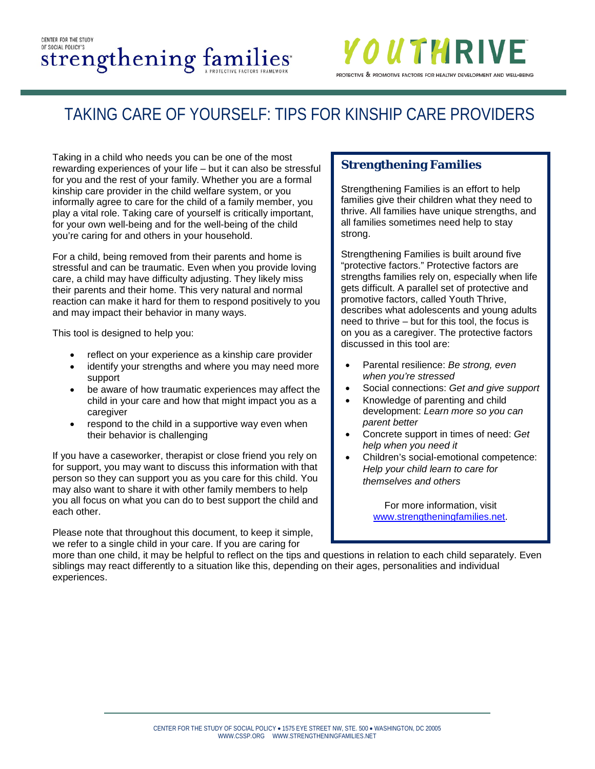#### CENTER FOR THE STUDY OF SOCIAL POLICY'S Strengthening families



# TAKING CARE OF YOURSELF: TIPS FOR KINSHIP CARE PROVIDERS

Taking in a child who needs you can be one of the most rewarding experiences of your life – but it can also be stressful for you and the rest of your family. Whether you are a formal kinship care provider in the child welfare system, or you informally agree to care for the child of a family member, you play a vital role. Taking care of yourself is critically important, for your own well-being and for the well-being of the child you're caring for and others in your household.

For a child, being removed from their parents and home is stressful and can be traumatic. Even when you provide loving care, a child may have difficulty adjusting. They likely miss their parents and their home. This very natural and normal reaction can make it hard for them to respond positively to you and may impact their behavior in many ways.

This tool is designed to help you:

- reflect on your experience as a kinship care provider
- identify your strengths and where you may need more support
- be aware of how traumatic experiences may affect the child in your care and how that might impact you as a caregiver
- respond to the child in a supportive way even when their behavior is challenging

If you have a caseworker, therapist or close friend you rely on for support, you may want to discuss this information with that person so they can support you as you care for this child. You may also want to share it with other family members to help you all focus on what you can do to best support the child and each other.

Please note that throughout this document, to keep it simple, we refer to a single child in your care. If you are caring for

#### **Strengthening Families**

Strengthening Families is an effort to help families give their children what they need to thrive. All families have unique strengths, and all families sometimes need help to stay strong.

Strengthening Families is built around five "protective factors." Protective factors are strengths families rely on, especially when life gets difficult. A parallel set of protective and promotive factors, called Youth Thrive, describes what adolescents and young adults need to thrive – but for this tool, the focus is on you as a caregiver. The protective factors discussed in this tool are:

- Parental resilience: *Be strong, even when you're stressed*
- Social connections: *Get and give support*
- Knowledge of parenting and child development: *Learn more so you can parent better*
- Concrete support in times of need: *Get help when you need it*
- Children's social-emotional competence: *Help your child learn to care for themselves and others*

For more information, visit [www.strengtheningfamilies.net.](http://www.strengtheningfamilies.net/)

more than one child, it may be helpful to reflect on the tips and questions in relation to each child separately. Even siblings may react differently to a situation like this, depending on their ages, personalities and individual experiences.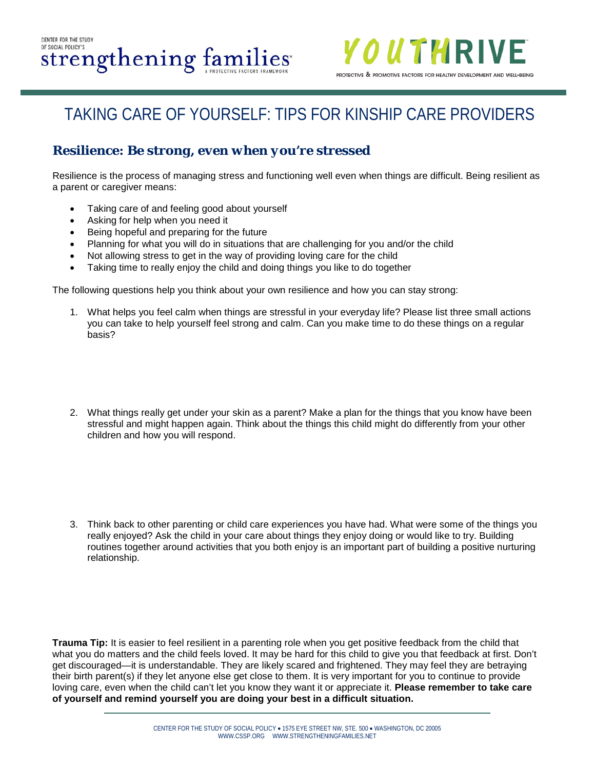

#### **Resilience:** *Be strong, even when you're stressed*

Resilience is the process of managing stress and functioning well even when things are difficult. Being resilient as a parent or caregiver means:

- Taking care of and feeling good about yourself
- Asking for help when you need it
- Being hopeful and preparing for the future
- Planning for what you will do in situations that are challenging for you and/or the child
- Not allowing stress to get in the way of providing loving care for the child
- Taking time to really enjoy the child and doing things you like to do together

The following questions help you think about your own resilience and how you can stay strong:

- 1. What helps you feel calm when things are stressful in your everyday life? Please list three small actions you can take to help yourself feel strong and calm. Can you make time to do these things on a regular basis?
- 2. What things really get under your skin as a parent? Make a plan for the things that you know have been stressful and might happen again. Think about the things this child might do differently from your other children and how you will respond.

3. Think back to other parenting or child care experiences you have had. What were some of the things you really enjoyed? Ask the child in your care about things they enjoy doing or would like to try. Building routines together around activities that you both enjoy is an important part of building a positive nurturing relationship.

**Trauma Tip:** It is easier to feel resilient in a parenting role when you get positive feedback from the child that what you do matters and the child feels loved. It may be hard for this child to give you that feedback at first. Don't get discouraged—it is understandable. They are likely scared and frightened. They may feel they are betraying their birth parent(s) if they let anyone else get close to them. It is very important for you to continue to provide loving care, even when the child can't let you know they want it or appreciate it. **Please remember to take care of yourself and remind yourself you are doing your best in a difficult situation.**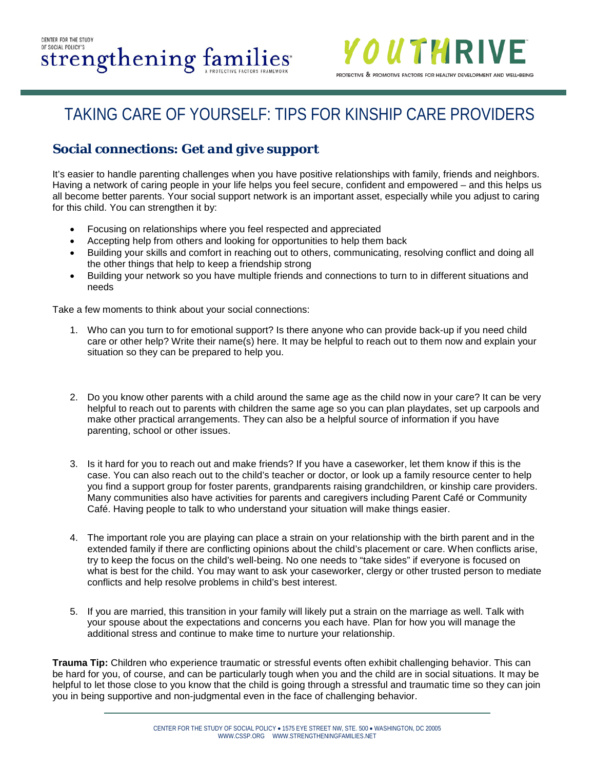

### **Social connections:** *Get and give support*

It's easier to handle parenting challenges when you have positive relationships with family, friends and neighbors. Having a network of caring people in your life helps you feel secure, confident and empowered – and this helps us all become better parents. Your social support network is an important asset, especially while you adjust to caring for this child. You can strengthen it by:

- Focusing on relationships where you feel respected and appreciated
- Accepting help from others and looking for opportunities to help them back
- Building your skills and comfort in reaching out to others, communicating, resolving conflict and doing all the other things that help to keep a friendship strong
- Building your network so you have multiple friends and connections to turn to in different situations and needs

Take a few moments to think about your social connections:

- 1. Who can you turn to for emotional support? Is there anyone who can provide back-up if you need child care or other help? Write their name(s) here. It may be helpful to reach out to them now and explain your situation so they can be prepared to help you.
- 2. Do you know other parents with a child around the same age as the child now in your care? It can be very helpful to reach out to parents with children the same age so you can plan playdates, set up carpools and make other practical arrangements. They can also be a helpful source of information if you have parenting, school or other issues.
- 3. Is it hard for you to reach out and make friends? If you have a caseworker, let them know if this is the case. You can also reach out to the child's teacher or doctor, or look up a family resource center to help you find a support group for foster parents, grandparents raising grandchildren, or kinship care providers. Many communities also have activities for parents and caregivers including Parent Café or Community Café. Having people to talk to who understand your situation will make things easier.
- 4. The important role you are playing can place a strain on your relationship with the birth parent and in the extended family if there are conflicting opinions about the child's placement or care. When conflicts arise, try to keep the focus on the child's well-being. No one needs to "take sides" if everyone is focused on what is best for the child. You may want to ask your caseworker, clergy or other trusted person to mediate conflicts and help resolve problems in child's best interest.
- 5. If you are married, this transition in your family will likely put a strain on the marriage as well. Talk with your spouse about the expectations and concerns you each have. Plan for how you will manage the additional stress and continue to make time to nurture your relationship.

**Trauma Tip:** Children who experience traumatic or stressful events often exhibit challenging behavior. This can be hard for you, of course, and can be particularly tough when you and the child are in social situations. It may be helpful to let those close to you know that the child is going through a stressful and traumatic time so they can join you in being supportive and non-judgmental even in the face of challenging behavior.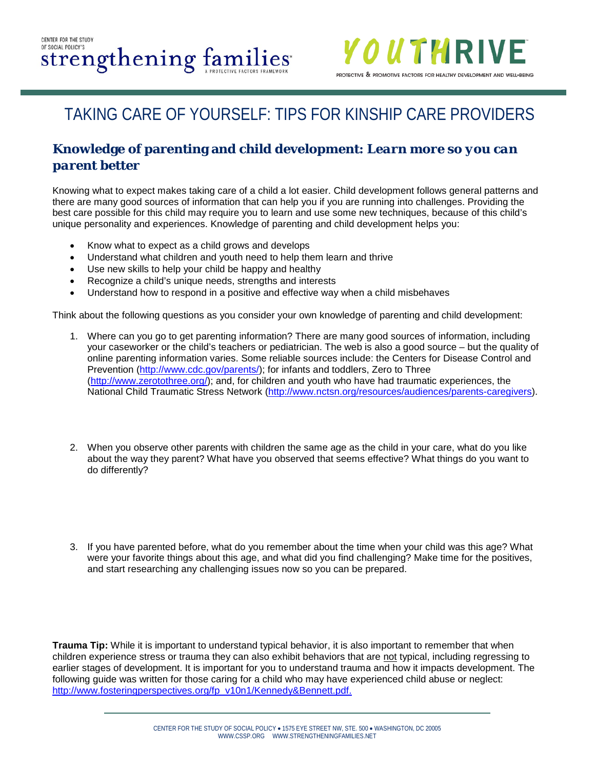

#### **Knowledge of parenting and child development:** *Learn more so you can parent better*

Knowing what to expect makes taking care of a child a lot easier. Child development follows general patterns and there are many good sources of information that can help you if you are running into challenges. Providing the best care possible for this child may require you to learn and use some new techniques, because of this child's unique personality and experiences. Knowledge of parenting and child development helps you:

- Know what to expect as a child grows and develops
- Understand what children and youth need to help them learn and thrive
- Use new skills to help your child be happy and healthy
- Recognize a child's unique needs, strengths and interests
- Understand how to respond in a positive and effective way when a child misbehaves

Think about the following questions as you consider your own knowledge of parenting and child development:

- 1. Where can you go to get parenting information? There are many good sources of information, including your caseworker or the child's teachers or pediatrician. The web is also a good source – but the quality of online parenting information varies. Some reliable sources include: the Centers for Disease Control and Prevention [\(http://www.cdc.gov/parents/\)](http://www.cdc.gov/parents/); for infants and toddlers, Zero to Three [\(http://www.zerotothree.org/\)](http://www.zerotothree.org/); and, for children and youth who have had traumatic experiences, the National Child Traumatic Stress Network [\(http://www.nctsn.org/resources/audiences/parents-caregivers\)](http://www.nctsn.org/resources/audiences/parents-caregivers).
- 2. When you observe other parents with children the same age as the child in your care, what do you like about the way they parent? What have you observed that seems effective? What things do you want to do differently?
- 3. If you have parented before, what do you remember about the time when your child was this age? What were your favorite things about this age, and what did you find challenging? Make time for the positives, and start researching any challenging issues now so you can be prepared.

**Trauma Tip:** While it is important to understand typical behavior, it is also important to remember that when children experience stress or trauma they can also exhibit behaviors that are not typical, including regressing to earlier stages of development. It is important for you to understand trauma and how it impacts development. The following guide was written for those caring for a child who may have experienced child abuse or neglect: [http://www.fosteringperspectives.org/fp\\_v10n1/Kennedy&Bennett.pdf.](http://www.fosteringperspectives.org/fp_v10n1/Kennedy&Bennett.pdf)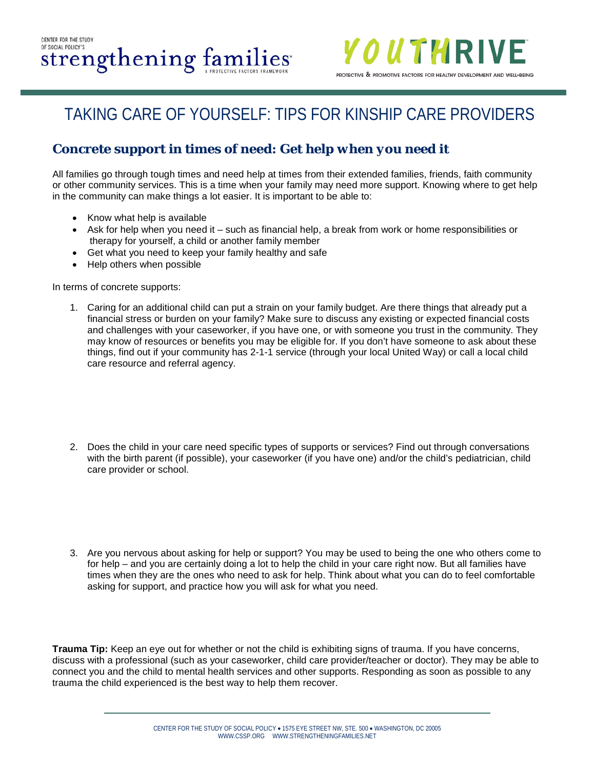

### **Concrete support in times of need:** *Get help when you need it*

All families go through tough times and need help at times from their extended families, friends, faith community or other community services. This is a time when your family may need more support. Knowing where to get help in the community can make things a lot easier. It is important to be able to:

- Know what help is available
- Ask for help when you need it such as financial help, a break from work or home responsibilities or therapy for yourself, a child or another family member
- Get what you need to keep your family healthy and safe
- Help others when possible

In terms of concrete supports:

- 1. Caring for an additional child can put a strain on your family budget. Are there things that already put a financial stress or burden on your family? Make sure to discuss any existing or expected financial costs and challenges with your caseworker, if you have one, or with someone you trust in the community. They may know of resources or benefits you may be eligible for. If you don't have someone to ask about these things, find out if your community has 2-1-1 service (through your local United Way) or call a local child care resource and referral agency.
- 2. Does the child in your care need specific types of supports or services? Find out through conversations with the birth parent (if possible), your caseworker (if you have one) and/or the child's pediatrician, child care provider or school.
- 3. Are you nervous about asking for help or support? You may be used to being the one who others come to for help – and you are certainly doing a lot to help the child in your care right now. But all families have times when they are the ones who need to ask for help. Think about what you can do to feel comfortable asking for support, and practice how you will ask for what you need.

**Trauma Tip:** Keep an eye out for whether or not the child is exhibiting signs of trauma. If you have concerns, discuss with a professional (such as your caseworker, child care provider/teacher or doctor). They may be able to connect you and the child to mental health services and other supports. Responding as soon as possible to any trauma the child experienced is the best way to help them recover.